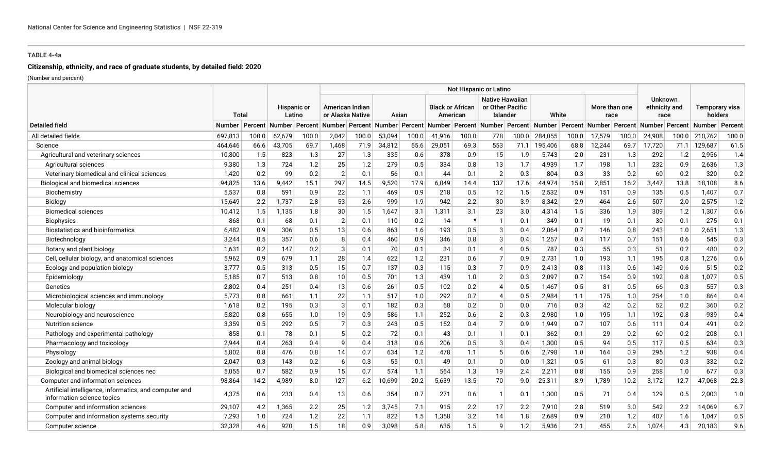## **Citizenship, ethnicity, and race of graduate students, by detailed field: 2020**

|                                                                                      |               |       |                            |                       | Not Hispanic or Latino |                                     |        |       |        |                                     |                             |                                                        |                                                                                                          |       |                       |       |                                         |       |                           |         |
|--------------------------------------------------------------------------------------|---------------|-------|----------------------------|-----------------------|------------------------|-------------------------------------|--------|-------|--------|-------------------------------------|-----------------------------|--------------------------------------------------------|----------------------------------------------------------------------------------------------------------|-------|-----------------------|-------|-----------------------------------------|-------|---------------------------|---------|
|                                                                                      |               | Total |                            | Hispanic or<br>Latino |                        | American Indian<br>or Alaska Native |        | Asian |        | <b>Black or African</b><br>American |                             | <b>Native Hawaiian</b><br>or Other Pacific<br>Islander | White                                                                                                    |       | More than one<br>race |       | <b>Unknown</b><br>ethnicity and<br>race |       | Temporary visa<br>holders |         |
| <b>Detailed field</b>                                                                | <b>Number</b> |       | Percent   Number   Percent |                       | Number                 |                                     |        |       |        |                                     |                             |                                                        | Percent Number Percent Number Percent Number Percent Number Percent Number Percent Number Percent Number |       |                       |       |                                         |       |                           | Percent |
| All detailed fields                                                                  | 697,813       | 100.0 | 62,679                     | 100.0                 | 2,042                  | 100.0                               | 53,094 | 100.0 | 41,916 | 100.0                               | 778                         | 100.0                                                  | 284,055                                                                                                  | 100.0 | 17,579                | 100.0 | 24,908                                  | 100.0 | 210,762                   | 100.0   |
| Science                                                                              | 464,646       | 66.6  | 43,705                     | 69.7                  | 1,468                  | 71.9                                | 34,812 | 65.6  | 29,051 | 69.3                                | 553                         | 71.1                                                   | 195,406                                                                                                  | 68.8  | 12,244                | 69.7  | 17,720                                  | 71.1  | 129,687                   | 61.5    |
| Agricultural and veterinary sciences                                                 | 10,800        | 1.5   | 823                        | 1.3                   | 27                     | 1.3                                 | 335    | 0.6   | 378    | 0.9                                 | 15                          | 1.9                                                    | 5,743                                                                                                    | 2.0   | 231                   | 1.3   | 292                                     | 1.2   | 2,956                     | 1.4     |
| Agricultural sciences                                                                | 9,380         | 1.3   | 724                        | 1.2                   | 25                     | 1.2                                 | 279    | 0.5   | 334    | 0.8                                 | 13                          | 1.7                                                    | 4,939                                                                                                    | 1.7   | 198                   | 1.1   | 232                                     | 0.9   | 2,636                     | 1.3     |
| Veterinary biomedical and clinical sciences                                          | 1,420         | 0.2   | 99                         | 0.2                   | 2                      | 0.1                                 | 56     | 0.1   | 44     | 0.1                                 | $\overline{2}$              | 0.3                                                    | 804                                                                                                      | 0.3   | 33                    | 0.2   | 60                                      | 0.2   | 320                       | 0.2     |
| Biological and biomedical sciences                                                   | 94,825        | 13.6  | 9.442                      | 15.1                  | 297                    | 14.5                                | 9,520  | 17.9  | 6,049  | 14.4                                | 137                         | 17.6                                                   | 44,974                                                                                                   | 15.8  | 2,851                 | 16.2  | 3,447                                   | 13.8  | 18.108                    | 8.6     |
| Biochemistry                                                                         | 5,537         | 0.8   | 591                        | 0.9                   | 22                     | 1.1                                 | 469    | 0.9   | 218    | 0.5                                 | 12                          | 1.5                                                    | 2,532                                                                                                    | 0.9   | 151                   | 0.9   | 135                                     | 0.5   | 1,407                     | 0.7     |
| Biology                                                                              | 15,649        | 2.2   | 1,737                      | 2.8                   | 53                     | 2.6                                 | 999    | 1.9   | 942    | 2.2                                 | 30                          | 3.9                                                    | 8,342                                                                                                    | 2.9   | 464                   | 2.6   | 507                                     | 2.0   | 2,575                     | 1.2     |
| <b>Biomedical sciences</b>                                                           | 10,412        | 1.5   | 1,135                      | 1.8                   | 30                     | 1.5                                 | 1,647  | 3.1   | 1,311  | 3.1                                 | 23                          | 3.0                                                    | 4,314                                                                                                    | 1.5   | 336                   | 1.9   | 309                                     | 1.2   | 1,307                     | 0.6     |
| <b>Biophysics</b>                                                                    | 868           | 0.1   | 68                         | 0.1                   | $\overline{2}$         | 0.1                                 | 110    | 0.2   | 14     | $\star$                             | $\mathbf{1}$                | 0.1                                                    | 349                                                                                                      | 0.1   | 19                    | 0.1   | 30                                      | 0.1   | 275                       | 0.1     |
| <b>Biostatistics and bioinformatics</b>                                              | 6,482         | 0.9   | 306                        | 0.5                   | 13                     | 0.6                                 | 863    | 1.6   | 193    | 0.5                                 | 3                           | 0.4                                                    | 2,064                                                                                                    | 0.7   | 146                   | 0.8   | 243                                     | 1.0   | 2,651                     | 1.3     |
| Biotechnology                                                                        | 3,244         | 0.5   | 357                        | 0.6                   | 8                      | 0.4                                 | 460    | 0.9   | 346    | 0.8                                 | 3                           | 0.4                                                    | 1,257                                                                                                    | 0.4   | 117                   | 0.7   | 151                                     | 0.6   | 545                       | 0.3     |
| Botany and plant biology                                                             | 1,631         | 0.2   | 147                        | 0.2                   | 3                      | 0.1                                 | 70     | 0.1   | 34     | 0.1                                 | $\boldsymbol{\vartriangle}$ | 0.5                                                    | 787                                                                                                      | 0.3   | 55                    | 0.3   | 51                                      | 0.2   | 480                       | 0.2     |
| Cell, cellular biology, and anatomical sciences                                      | 5,962         | 0.9   | 679                        | 1.1                   | 28                     | 1.4                                 | 622    | 1.2   | 231    | 0.6                                 | $\overline{7}$              | 0.9                                                    | 2,731                                                                                                    | 1.0   | 193                   | 1.1   | 195                                     | 0.8   | 1,276                     | 0.6     |
| Ecology and population biology                                                       | 3,777         | 0.5   | 313                        | 0.5                   | 15                     | 0.7                                 | 137    | 0.3   | 115    | 0.3                                 | $\overline{7}$              | 0.9                                                    | 2,413                                                                                                    | 0.8   | 113                   | 0.6   | 149                                     | 0.6   | 515                       | 0.2     |
| Epidemiology                                                                         | 5,185         | 0.7   | 513                        | 0.8                   | 10                     | 0.5                                 | 701    | 1.3   | 439    | 1.0                                 | $\overline{2}$              | 0.3                                                    | 2,097                                                                                                    | 0.7   | 154                   | 0.9   | 192                                     | 0.8   | 1.077                     | 0.5     |
| Genetics                                                                             | 2,802         | 0.4   | 251                        | 0.4                   | 13                     | 0.6                                 | 261    | 0.5   | 102    | 0.2                                 | $\Delta$                    | 0.5                                                    | 1,467                                                                                                    | 0.5   | 81                    | 0.5   | 66                                      | 0.3   | 557                       | 0.3     |
| Microbiological sciences and immunology                                              | 5,773         | 0.8   | 661                        | 1.1                   | 22                     | 1.1                                 | 517    | 1.0   | 292    | 0.7                                 | $\Delta$                    | 0.5                                                    | 2,984                                                                                                    | 1.1   | 175                   | 1.0   | 254                                     | 1.0   | 864                       | 0.4     |
| Molecular biology                                                                    | 1,618         | 0.2   | 195                        | 0.3                   | 3                      | 0.1                                 | 182    | 0.3   | 68     | 0.2                                 | $\Omega$                    | 0.0                                                    | 716                                                                                                      | 0.3   | 42                    | 0.2   | 52                                      | 0.2   | 360                       | 0.2     |
| Neurobiology and neuroscience                                                        | 5,820         | 0.8   | 655                        | 1.0                   | 19                     | 0.9                                 | 586    | 1.1   | 252    | 0.6                                 | $\overline{2}$              | 0.3                                                    | 2,980                                                                                                    | 1.0   | 195                   | 1.1   | 192                                     | 0.8   | 939                       | 0.4     |
| <b>Nutrition science</b>                                                             | 3,359         | 0.5   | 292                        | 0.5                   | $\overline{7}$         | 0.3                                 | 243    | 0.5   | 152    | 0.4                                 | $\overline{7}$              | 0.9                                                    | 1,949                                                                                                    | 0.7   | 107                   | 0.6   | 111                                     | 0.4   | 491                       | $0.2\,$ |
| Pathology and experimental pathology                                                 | 858           | 0.1   | 78                         | 0.1                   |                        | 0.2                                 | 72     | 0.1   | 43     | 0.1                                 | $\mathbf{1}$                | 0.1                                                    | 362                                                                                                      | 0.1   | 29                    | 0.2   | 60                                      | 0.2   | 208                       | 0.1     |
| Pharmacology and toxicology                                                          | 2,944         | 0.4   | 263                        | 0.4                   | Q                      | 0.4                                 | 318    | 0.6   | 206    | 0.5                                 | 3                           | 0.4                                                    | 1,300                                                                                                    | 0.5   | 94                    | 0.5   | 117                                     | 0.5   | 634                       | 0.3     |
| Physiology                                                                           | 5,802         | 0.8   | 476                        | 0.8                   | 14                     | 0.7                                 | 634    | 1.2   | 478    | 1.1                                 | 5                           | 0.6                                                    | 2,798                                                                                                    | 1.0   | 164                   | 0.9   | 295                                     | 1.2   | 938                       | 0.4     |
| Zoology and animal biology                                                           | 2,047         | 0.3   | 143                        | 0.2                   | 6                      | 0.3                                 | 55     | 0.1   | 49     | 0.1                                 | $\Omega$                    | 0.0                                                    | 1,321                                                                                                    | 0.5   | 61                    | 0.3   | 80                                      | 0.3   | 332                       | 0.2     |
| Biological and biomedical sciences nec                                               | 5,055         | 0.7   | 582                        | 0.9                   | 15                     | 0.7                                 | 574    | 1.1   | 564    | 1.3                                 | 19                          | 2.4                                                    | 2,211                                                                                                    | 0.8   | 155                   | 0.9   | 258                                     | 1.0   | 677                       | 0.3     |
| Computer and information sciences                                                    | 98,864        | 14.2  | 4,989                      | 8.0                   | 127                    | 6.2                                 | 10,699 | 20.2  | 5,639  | 13.5                                | 70                          | 9.0                                                    | 25,311                                                                                                   | 8.9   | 1,789                 | 10.2  | 3,172                                   | 12.7  | 47.068                    | 22.3    |
| Artificial intelligence, informatics, and computer and<br>information science topics | 4,375         | 0.6   | 233                        | 0.4                   | 13                     | 0.6                                 | 354    | 0.7   | 271    | 0.6                                 | $\mathbf 1$                 | 0.1                                                    | 1,300                                                                                                    | 0.5   | 71                    | 0.4   | 129                                     | 0.5   | 2,003                     | 1.0     |
| Computer and information sciences                                                    | 29,107        | 4.2   | 1,365                      | 2.2                   | 25                     | 1.2                                 | 3.745  | 7.1   | 915    | 2.2                                 | 17                          | 2.2                                                    | 7,910                                                                                                    | 2.8   | 519                   | 3.0   | 542                                     | 2.2   | 14.069                    | 6.7     |
| Computer and information systems security                                            | 7,293         | 1.0   | 724                        | 1.2                   | 22                     | 1.1                                 | 822    | 1.5   | 1,358  | 3.2                                 | 14                          | 1.8                                                    | 2,689                                                                                                    | 0.9   | 210                   | 1.2   | 407                                     | 1.6   | 1.047                     | 0.5     |
| Computer science                                                                     | 32,328        | 4.6   | 920                        | 1.5                   | 18                     | 0.9                                 | 3.098  | 5.8   | 635    | 1.5                                 | $\Omega$                    | 1.2                                                    | 5,936                                                                                                    | 2.1   | 455                   | 2.6   | 1,074                                   | 4.3   | 20.183                    | 9.6     |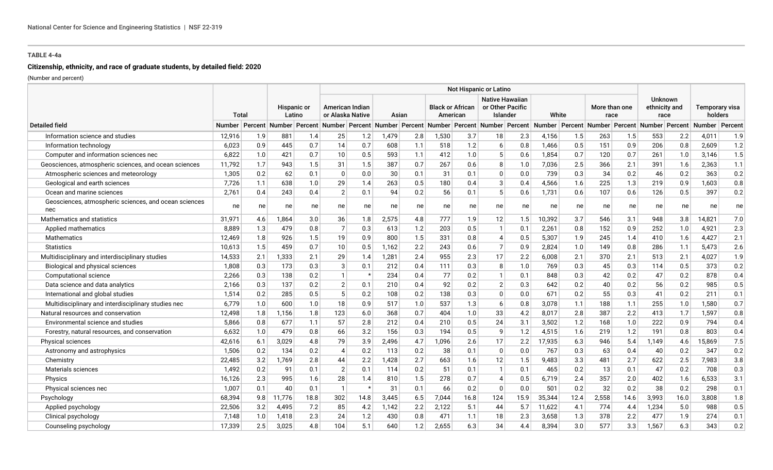# **Citizenship, ethnicity, and race of graduate students, by detailed field: 2020**

|                                                              |               |     |                            |                       | Not Hispanic or Latino |                                     |       |       |       |                                     |                                                                                                          |                                                        |        |       |                       |      |                                         |      |                           |         |
|--------------------------------------------------------------|---------------|-----|----------------------------|-----------------------|------------------------|-------------------------------------|-------|-------|-------|-------------------------------------|----------------------------------------------------------------------------------------------------------|--------------------------------------------------------|--------|-------|-----------------------|------|-----------------------------------------|------|---------------------------|---------|
|                                                              | Total         |     |                            | Hispanic or<br>Latino |                        | American Indian<br>or Alaska Native |       | Asian |       | <b>Black or African</b><br>American |                                                                                                          | <b>Native Hawaiian</b><br>or Other Pacific<br>Islander |        | White | More than one<br>race |      | <b>Unknown</b><br>ethnicity and<br>race |      | Temporary visa<br>holders |         |
| <b>Detailed field</b>                                        | <b>Number</b> |     | Percent   Number   Percent |                       |                        |                                     |       |       |       |                                     | Number Percent Number Percent Number Percent Number Percent Number Percent Number Percent Number Percent |                                                        |        |       |                       |      |                                         |      | <b>Number</b>             | Percent |
| Information science and studies                              | 12,916        | 1.9 | 881                        | 1.4                   | 25                     | 1.2                                 | 1,479 | 2.8   | 1,530 | 3.7                                 | 18                                                                                                       | 2.3                                                    | 4,156  | 1.5   | 263                   | 1.5  | 553                                     | 2.2  | 4,011                     | 1.9     |
| Information technology                                       | 6,023         | 0.9 | 445                        | 0.7                   | 14                     | 0.7                                 | 608   | 1.1   | 518   | 1.2                                 | 6                                                                                                        | 0.8                                                    | 1,466  | 0.5   | 151                   | 0.9  | 206                                     | 0.8  | 2,609                     | 1.2     |
| Computer and information sciences nec                        | 6,822         | 1.0 | 421                        | 0.7                   | 10                     | 0.5                                 | 593   | 1.1   | 412   | $1.0\,$                             | 5                                                                                                        | 0.6                                                    | 1,854  | 0.7   | 120                   | 0.7  | 261                                     | 1.0  | 3,146                     | 1.5     |
| Geosciences, atmospheric sciences, and ocean sciences        | 11,792        | 1.7 | 943                        | 1.5                   | 31                     | 1.5                                 | 387   | 0.7   | 267   | 0.6                                 | 8                                                                                                        | 1.0                                                    | 7,036  | 2.5   | 366                   | 2.1  | 391                                     | 1.6  | 2,363                     | 1.1     |
| Atmospheric sciences and meteorology                         | 1,305         | 0.2 | 62                         | 0.1                   | $\Omega$               | 0.0                                 | 30    | 0.1   | 31    | 0.1                                 | $\Omega$                                                                                                 | 0.0                                                    | 739    | 0.3   | 34                    | 0.2  | 46                                      | 0.2  | 363                       | 0.2     |
| Geological and earth sciences                                | 7,726         | 1.1 | 638                        | 1.0                   | 29                     | 1.4                                 | 263   | 0.5   | 180   | 0.4                                 | 3                                                                                                        | 0.4                                                    | 4,566  | 1.6   | 225                   | 1.3  | 219                                     | 0.9  | 1,603                     | $0.8\,$ |
| Ocean and marine sciences                                    | 2,761         | 0.4 | 243                        | 0.4                   | 2                      | 0.1                                 | 94    | 0.2   | 56    | 0.1                                 | 5                                                                                                        | 0.6                                                    | 1,731  | 0.6   | 107                   | 0.6  | 126                                     | 0.5  | 397                       | 0.2     |
| Geosciences, atmospheric sciences, and ocean sciences<br>nec | ne            | ne  | ne                         | ne                    | ne                     | ne                                  | ne    | ne    | ne    | ne                                  | ne                                                                                                       | ne                                                     | ne     | ne    | ne                    | ne   | ne                                      | ne   | ne                        | ne      |
| Mathematics and statistics                                   | 31,971        | 4.6 | 1,864                      | 3.0                   | 36                     | 1.8                                 | 2,575 | 4.8   | 777   | 1.9                                 | 12                                                                                                       | 1.5                                                    | 10,392 | 3.7   | 546                   | 3.1  | 948                                     | 3.8  | 14,821                    | 7.0     |
| Applied mathematics                                          | 8,889         | 1.3 | 479                        | 0.8                   |                        | 0.3                                 | 613   | 1.2   | 203   | 0.5                                 |                                                                                                          | 0.1                                                    | 2,261  | 0.8   | 152                   | 0.9  | 252                                     | 1.0  | 4,921                     | 2.3     |
| <b>Mathematics</b>                                           | 12,469        | 1.8 | 926                        | 1.5                   | 19                     | 0.9                                 | 800   | 1.5   | 331   | 0.8                                 | $\overline{4}$                                                                                           | 0.5                                                    | 5,307  | 1.9   | 245                   | 1.4  | 410                                     | 1.6  | 4,427                     | 2.1     |
| <b>Statistics</b>                                            | 10,613        | 1.5 | 459                        | 0.7                   | 10                     | 0.5                                 | 1,162 | 2.2   | 243   | 0.6                                 | $\overline{7}$                                                                                           | 0.9                                                    | 2,824  | 1.0   | 149                   | 0.8  | 286                                     | 1.1  | 5,473                     | 2.6     |
| Multidisciplinary and interdisciplinary studies              | 14,533        | 2.1 | 1,333                      | 2.1                   | 29                     | 1.4                                 | 1,281 | 2.4   | 955   | 2.3                                 | 17                                                                                                       | 2.2                                                    | 6,008  | 2.1   | 370                   | 2.1  | 513                                     | 2.1  | 4,027                     | 1.9     |
| Biological and physical sciences                             | 1,808         | 0.3 | 173                        | 0.3                   | 3                      | 0.1                                 | 212   | 0.4   | 111   | 0.3                                 | 8                                                                                                        | 1.0                                                    | 769    | 0.3   | 45                    | 0.3  | 114                                     | 0.5  | 373                       | 0.2     |
| Computational science                                        | 2,266         | 0.3 | 138                        | 0.2                   |                        | $\star$                             | 234   | 0.4   | 77    | 0.2                                 | $\mathbf{1}$                                                                                             | 0.1                                                    | 848    | 0.3   | 42                    | 0.2  | 47                                      | 0.2  | 878                       | 0.4     |
| Data science and data analytics                              | 2,166         | 0.3 | 137                        | 0.2                   | 2                      | 0.1                                 | 210   | 0.4   | 92    | 0.2                                 | $\overline{2}$                                                                                           | 0.3                                                    | 642    | 0.2   | 40                    | 0.2  | 56                                      | 0.2  | 985                       | 0.5     |
| International and global studies                             | 1,514         | 0.2 | 285                        | 0.5                   | 5                      | 0.2                                 | 108   | 0.2   | 138   | 0.3                                 | $\Omega$                                                                                                 | $0.0\,$                                                | 671    | 0.2   | 55                    | 0.3  | 41                                      | 0.2  | 211                       | 0.1     |
| Multidisciplinary and interdisciplinary studies nec          | 6,779         | 1.0 | 600                        | 1.0                   | 18                     | 0.9                                 | 517   | 1.0   | 537   | 1.3                                 | 6                                                                                                        | 0.8                                                    | 3,078  | 1.1   | 188                   | 1.1  | 255                                     | 1.0  | 1,580                     | 0.7     |
| Natural resources and conservation                           | 12,498        | 1.8 | 1,156                      | 1.8                   | 123                    | 6.0                                 | 368   | 0.7   | 404   | $1.0$                               | 33                                                                                                       | 4.2                                                    | 8,017  | 2.8   | 387                   | 2.2  | 413                                     | 1.7  | 1,597                     | 0.8     |
| Environmental science and studies                            | 5,866         | 0.8 | 677                        | 1.1                   | 57                     | 2.8                                 | 212   | 0.4   | 210   | 0.5                                 | 24                                                                                                       | 3.1                                                    | 3,502  | 1.2   | 168                   | 1.0  | 222                                     | 0.9  | 794                       | 0.4     |
| Forestry, natural resources, and conservation                | 6,632         | 1.0 | 479                        | 0.8                   | 66                     | 3.2                                 | 156   | 0.3   | 194   | 0.5                                 | 9                                                                                                        | 1.2                                                    | 4,515  | 1.6   | 219                   | 1.2  | 191                                     | 0.8  | 803                       | 0.4     |
| Physical sciences                                            | 42,616        | 6.1 | 3,029                      | 4.8                   | 79                     | 3.9                                 | 2,496 | 4.7   | 1,096 | 2.6                                 | 17                                                                                                       | 2.2                                                    | 17,935 | 6.3   | 946                   | 5.4  | 1.149                                   | 4.6  | 15,869                    | 7.5     |
| Astronomy and astrophysics                                   | 1,506         | 0.2 | 134                        | 0.2                   | $\overline{4}$         | 0.2                                 | 113   | 0.2   | 38    | 0.1                                 | $\mathbf{0}$                                                                                             | 0.0                                                    | 767    | 0.3   | 63                    | 0.4  | 40                                      | 0.2  | 347                       | 0.2     |
| Chemistry                                                    | 22,485        | 3.2 | 1.769                      | 2.8                   | 44                     | 2.2                                 | 1,428 | 2.7   | 663   | 1.6                                 | 12                                                                                                       | 1.5                                                    | 9,483  | 3.3   | 481                   | 2.7  | 622                                     | 2.5  | 7,983                     | 3.8     |
| Materials sciences                                           | 1,492         | 0.2 | 91                         | 0.1                   | $\overline{2}$         | 0.1                                 | 114   | 0.2   | 51    | 0.1                                 | $\mathbf{1}$                                                                                             | 0.1                                                    | 465    | 0.2   | 13                    | 0.1  | 47                                      | 0.2  | 708                       | 0.3     |
| Physics                                                      | 16,126        | 2.3 | 995                        | 1.6                   | 28                     | 1.4                                 | 810   | 1.5   | 278   | 0.7                                 | $\overline{4}$                                                                                           | 0.5                                                    | 6,719  | 2.4   | 357                   | 2.0  | 402                                     | 1.6  | 6,533                     | 3.1     |
| Physical sciences nec                                        | 1,007         | 0.1 | 40                         | 0.1                   | $\mathbf{1}$           | $\star$                             | 31    | 0.1   | 66    | 0.2                                 | $\Omega$                                                                                                 | 0.0                                                    | 501    | 0.2   | 32                    | 0.2  | 38                                      | 0.2  | 298                       | 0.1     |
| Psychology                                                   | 68,394        | 9.8 | 11,776                     | 18.8                  | 302                    | 14.8                                | 3,445 | 6.5   | 7,044 | 16.8                                | 124                                                                                                      | 15.9                                                   | 35,344 | 12.4  | 2,558                 | 14.6 | 3,993                                   | 16.0 | 3,808                     | 1.8     |
| Applied psychology                                           | 22,506        | 3.2 | 4,495                      | 7.2                   | 85                     | 4.2                                 | 1,142 | 2.2   | 2,122 | 5.1                                 | 44                                                                                                       | 5.7                                                    | 11,622 | 4.1   | 774                   | 4.4  | 1,234                                   | 5.0  | 988                       | 0.5     |
| Clinical psychology                                          | 7,148         | 1.0 | 1,418                      | 2.3                   | 24                     | 1.2                                 | 430   | 0.8   | 471   | 1.1                                 | 18                                                                                                       | 2.3                                                    | 3,658  | 1.3   | 378                   | 2.2  | 477                                     | 1.9  | 274                       | 0.1     |
| Counseling psychology                                        | 17.339        | 2.5 | 3,025                      | 4.8                   | 104                    | 5.1                                 | 640   | 1.2   | 2,655 | 6.3                                 | 34                                                                                                       | 4.4                                                    | 8,394  | 3.0   | 577                   | 3.3  | 1,567                                   | 6.3  | 343                       | 0.2     |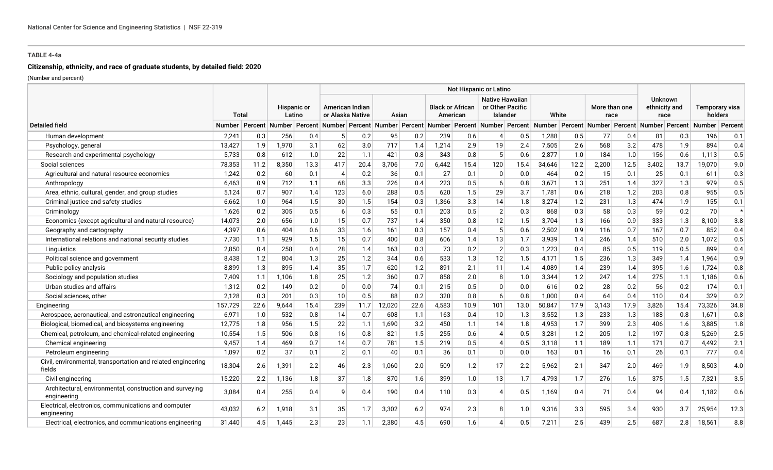# **Citizenship, ethnicity, and race of graduate students, by detailed field: 2020**

|                                                                         |         |       |       |                       | Not Hispanic or Latino |                                     |                                                             |       |       |                                     |                                                                                    |                                                        |        |      |                       |      |                                         |      |                           |         |
|-------------------------------------------------------------------------|---------|-------|-------|-----------------------|------------------------|-------------------------------------|-------------------------------------------------------------|-------|-------|-------------------------------------|------------------------------------------------------------------------------------|--------------------------------------------------------|--------|------|-----------------------|------|-----------------------------------------|------|---------------------------|---------|
|                                                                         |         | Total |       | Hispanic or<br>Latino |                        | American Indian<br>or Alaska Native |                                                             | Asian |       | <b>Black or African</b><br>American |                                                                                    | <b>Native Hawaiian</b><br>or Other Pacific<br>Islander | White  |      | More than one<br>race |      | <b>Unknown</b><br>ethnicity and<br>race |      | Temporary visa<br>holders |         |
| <b>Detailed field</b>                                                   | Number  |       |       |                       |                        |                                     | Percent Number Percent Number Percent Number Percent Number |       |       |                                     | Percent Number Percent Number Percent Number Percent Number Percent Number Percent |                                                        |        |      |                       |      |                                         |      |                           |         |
| Human development                                                       | 2,241   | 0.3   | 256   | 0.4                   | 5 <sup>1</sup>         | 0.2                                 | 95                                                          | 0.2   | 239   | 0.6                                 | $\boldsymbol{\vartriangle}$                                                        | 0.5                                                    | 1,288  | 0.5  | 77                    | 0.4  | 81                                      | 0.3  | 196                       | 0.1     |
| Psychology, general                                                     | 13,427  | 1.9   | 1,970 | 3.1                   | 62                     | 3.0                                 | 717                                                         | 1.4   | 1,214 | 2.9                                 | 19                                                                                 | 2.4                                                    | 7,505  | 2.6  | 568                   | 3.2  | 478                                     | 1.9  | 894                       | 0.4     |
| Research and experimental psychology                                    | 5,733   | 0.8   | 612   | 1.0                   | 22                     | 1.1                                 | 421                                                         | 0.8   | 343   | 0.8                                 | 5                                                                                  | 0.6                                                    | 2,877  | 1.0  | 184                   | 1.0  | 156                                     | 0.6  | 1,113                     | 0.5     |
| Social sciences                                                         | 78,353  | 11.2  | 8,350 | 13.3                  | 417                    | 20.4                                | 3,706                                                       | 7.0   | 6,442 | 15.4                                | 120                                                                                | 15.4                                                   | 34,646 | 12.2 | 2,200                 | 12.5 | 3,402                                   | 13.7 | 19,070                    | 9.0     |
| Agricultural and natural resource economics                             | 1,242   | 0.2   | 60    | 0.1                   | $\overline{4}$         | 0.2                                 | 36                                                          | 0.1   | 27    | 0.1                                 | $\mathbf 0$                                                                        | 0.0                                                    | 464    | 0.2  | 15                    | 0.1  | 25                                      | 0.1  | 611                       | 0.3     |
| Anthropology                                                            | 6,463   | 0.9   | 712   | 1.1                   | 68                     | 3.3                                 | 226                                                         | 0.4   | 223   | 0.5                                 | 6                                                                                  | 0.8                                                    | 3,671  | 1.3  | 251                   | 1.4  | 327                                     | 1.3  | 979                       | 0.5     |
| Area, ethnic, cultural, gender, and group studies                       | 5,124   | 0.7   | 907   | 1.4                   | 123                    | 6.0                                 | 288                                                         | 0.5   | 620   | 1.5                                 | 29                                                                                 | 3.7                                                    | 1,781  | 0.6  | 218                   | 1.2  | 203                                     | 0.8  | 955                       | 0.5     |
| Criminal justice and safety studies                                     | 6,662   | 1.0   | 964   | 1.5                   | 30                     | 1.5                                 | 154                                                         | 0.3   | 1,366 | 3.3                                 | 14                                                                                 | 1.8                                                    | 3,274  | 1.2  | 231                   | 1.3  | 474                                     | 1.9  | 155                       | 0.1     |
| Criminology                                                             | 1,626   | 0.2   | 305   | 0.5                   | 6                      | 0.3                                 | 55                                                          | 0.1   | 203   | 0.5                                 | 2                                                                                  | 0.3                                                    | 868    | 0.3  | 58                    | 0.3  | 59                                      | 0.2  | 70                        | $\star$ |
| Economics (except agricultural and natural resource)                    | 14,073  | 2.0   | 656   | 1.0                   | 15                     | 0.7                                 | 737                                                         | 1.4   | 350   | 0.8                                 | 12                                                                                 | 1.5                                                    | 3,704  | 1.3  | 166                   | 0.9  | 333                                     | 1.3  | 8,100                     | 3.8     |
| Geography and cartography                                               | 4,397   | 0.6   | 404   | 0.6                   | 33                     | 1.6                                 | 161                                                         | 0.3   | 157   | 0.4                                 | 5                                                                                  | 0.6                                                    | 2,502  | 0.9  | 116                   | 0.7  | 167                                     | 0.7  | 852                       | 0.4     |
| International relations and national security studies                   | 7,730   | 1.1   | 929   | 1.5                   | 15                     | 0.7                                 | 400                                                         | 0.8   | 606   | 1.4                                 | 13                                                                                 | 1.7                                                    | 3,939  | 1.4  | 246                   | 1.4  | 510                                     | 2.0  | 1.072                     | 0.5     |
| Linguistics                                                             | 2,850   | 0.4   | 258   | 0.4                   | 28                     | 1.4                                 | 163                                                         | 0.3   | 73    | 0.2                                 | 2                                                                                  | 0.3                                                    | 1,223  | 0.4  | 85                    | 0.5  | 119                                     | 0.5  | 899                       | 0.4     |
| Political science and government                                        | 8,438   | 1.2   | 804   | 1.3                   | 25                     | 1.2                                 | 344                                                         | 0.6   | 533   | 1.3                                 | 12                                                                                 | 1.5                                                    | 4,171  | 1.5  | 236                   | 1.3  | 349                                     | 1.4  | 1,964                     | 0.9     |
| Public policy analysis                                                  | 8,899   | 1.3   | 895   | 1.4                   | 35                     | 1.7                                 | 620                                                         | 1.2   | 891   | 2.1                                 | 11                                                                                 | 1.4                                                    | 4,089  | 1.4  | 239                   | 1.4  | 395                                     | 1.6  | 1,724                     | 0.8     |
| Sociology and population studies                                        | 7,409   | 1.1   | 1.106 | 1.8                   | 25                     | 1.2                                 | 360                                                         | 0.7   | 858   | 2.0                                 | 8                                                                                  | 1.0                                                    | 3,344  | 1.2  | 247                   | 1.4  | 275                                     | 1.1  | 1,186                     | 0.6     |
| Urban studies and affairs                                               | 1,312   | 0.2   | 149   | 0.2                   | $\Omega$               | 0.0                                 | 74                                                          | 0.1   | 215   | 0.5                                 | $\Omega$                                                                           | 0.0                                                    | 616    | 0.2  | 28                    | 0.2  | 56                                      | 0.2  | 174                       | 0.1     |
| Social sciences, other                                                  | 2,128   | 0.3   | 201   | 0.3                   | 10                     | 0.5                                 | 88                                                          | 0.2   | 320   | 0.8                                 | 6                                                                                  | 0.8                                                    | 1,000  | 0.4  | 64                    | 0.4  | 110                                     | 0.4  | 329                       | 0.2     |
| Engineering                                                             | 157,729 | 22.6  | 9,644 | 15.4                  | 239                    | 11.7                                | 12,020                                                      | 22.6  | 4,583 | 10.9                                | 101                                                                                | 13.0                                                   | 50,847 | 17.9 | 3,143                 | 17.9 | 3,826                                   | 15.4 | 73,326                    | 34.8    |
| Aerospace, aeronautical, and astronautical engineering                  | 6,971   | 1.0   | 532   | 0.8                   | 14                     | 0.7                                 | 608                                                         | 1.1   | 163   | 0.4                                 | 10                                                                                 | 1.3                                                    | 3,552  | 1.3  | 233                   | 1.3  | 188                                     | 0.8  | 1,671                     | 0.8     |
| Biological, biomedical, and biosystems engineering                      | 12,775  | 1.8   | 956   | 1.5                   | 22                     | 1.1                                 | 1,690                                                       | 3.2   | 450   | 1.1                                 | 14                                                                                 | 1.8                                                    | 4,953  | 1.7  | 399                   | 2.3  | 406                                     | 1.6  | 3,885                     | 1.8     |
| Chemical, petroleum, and chemical-related engineering                   | 10,554  | 1.5   | 506   | 0.8                   | 16                     | 0.8                                 | 821                                                         | 1.5   | 255   | 0.6                                 | 4                                                                                  | 0.5                                                    | 3,281  | 1.2  | 205                   | 1.2  | 197                                     | 0.8  | 5,269                     | 2.5     |
| Chemical engineering                                                    | 9,457   | 1.4   | 469   | 0.7                   | 14                     | 0.7                                 | 781                                                         | 1.5   | 219   | 0.5                                 | 4                                                                                  | 0.5                                                    | 3,118  | 1.1  | 189                   | 1.1  | 171                                     | 0.7  | 4,492                     | 2.1     |
| Petroleum engineering                                                   | 1,097   | 0.2   | 37    | 0.1                   | 2                      | 0.1                                 | 40                                                          | 0.1   | 36    | 0.1                                 | $\mathbf{0}$                                                                       | 0.0                                                    | 163    | 0.1  | 16                    | 0.1  | 26                                      | 0.1  | 777                       | 0.4     |
| Civil, environmental, transportation and related engineering<br>fields  | 18,304  | 2.6   | 1,391 | 2.2                   | 46                     | 2.3                                 | 1,060                                                       | 2.0   | 509   | 1.2                                 | 17                                                                                 | 2.2                                                    | 5,962  | 2.1  | 347                   | 2.0  | 469                                     | 1.9  | 8,503                     | 4.0     |
| Civil engineering                                                       | 15,220  | 2.2   | 1,136 | 1.8                   | 37                     | 1.8                                 | 870                                                         | 1.6   | 399   | 1.0                                 | 13                                                                                 | 1.7                                                    | 4,793  | 1.7  | 276                   | 1.6  | 375                                     | 1.5  | 7,321                     | 3.5     |
| Architectural, environmental, construction and surveying<br>engineering | 3,084   | 0.4   | 255   | 0.4                   | q                      | 0.4                                 | 190                                                         | 0.4   | 110   | 0.3                                 |                                                                                    | 0.5                                                    | 1,169  | 0.4  | 71                    | 0.4  | 94                                      | 0.4  | 1,182                     | 0.6     |
| Electrical, electronics, communications and computer<br>engineering     | 43,032  | 6.2   | 1,918 | 3.1                   | 35                     | 1.7                                 | 3,302                                                       | 6.2   | 974   | 2.3                                 | 8                                                                                  | 1.0                                                    | 9,316  | 3.3  | 595                   | 3.4  | 930                                     | 3.7  | 25,954                    | 12.3    |
| Electrical, electronics, and communications engineering                 | 31,440  | 4.5   | 1,445 | 2.3                   | 23                     | 1.1                                 | 2,380                                                       | 4.5   | 690   | 1.6                                 |                                                                                    | 0.5                                                    | 7,211  | 2.5  | 439                   | 2.5  | 687                                     | 2.8  | 18,561                    | 8.8     |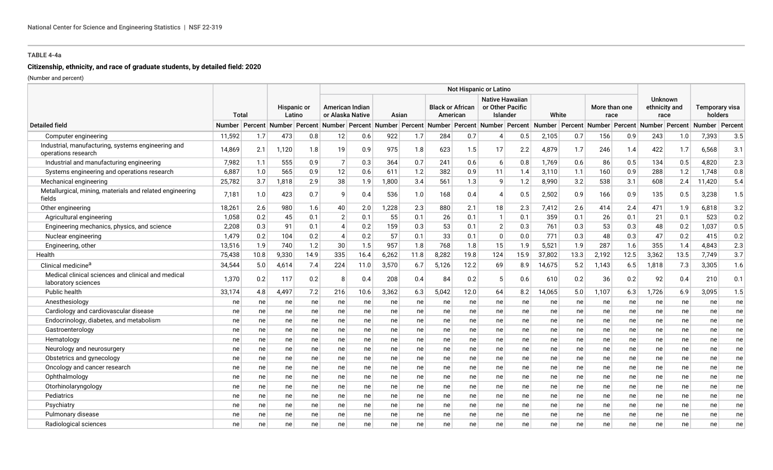# **Citizenship, ethnicity, and race of graduate students, by detailed field: 2020**

|                                                                           |               |       |       |                              | Not Hispanic or Latino |                                     |       |       |       |                                     |                                                                                                                                                |                                                        |        |       |                       |      |                                         |      |                           |         |
|---------------------------------------------------------------------------|---------------|-------|-------|------------------------------|------------------------|-------------------------------------|-------|-------|-------|-------------------------------------|------------------------------------------------------------------------------------------------------------------------------------------------|--------------------------------------------------------|--------|-------|-----------------------|------|-----------------------------------------|------|---------------------------|---------|
|                                                                           |               | Total |       | <b>Hispanic or</b><br>Latino |                        | American Indian<br>or Alaska Native |       | Asian |       | <b>Black or African</b><br>American |                                                                                                                                                | <b>Native Hawaiian</b><br>or Other Pacific<br>Islander |        | White | More than one<br>race |      | <b>Unknown</b><br>ethnicity and<br>race |      | Temporary visa<br>holders |         |
| <b>Detailed field</b>                                                     | <b>Number</b> |       |       |                              |                        |                                     |       |       |       |                                     | Percent Number Percent Number Percent Number Percent Number Percent Number Percent Number Percent Number Percent Number Percent Number Percent |                                                        |        |       |                       |      |                                         |      | <b>Number</b>             | Percent |
| Computer engineering                                                      | 11,592        | 1.7   | 473   | 0.8                          | 12                     | 0.6                                 | 922   | 1.7   | 284   | 0.7                                 | $\boldsymbol{\varDelta}$                                                                                                                       | 0.5                                                    | 2,105  | 0.7   | 156                   | 0.9  | 243                                     | 1.0  | 7,393                     | 3.5     |
| Industrial, manufacturing, systems engineering and<br>operations research | 14.869        | 2.1   | 1.120 | 1.8                          | 19                     | 0.9                                 | 975   | 1.8   | 623   | 1.5                                 | 17                                                                                                                                             | 2.2                                                    | 4,879  | 1.7   | 246                   | 1.4  | 422                                     | 1.7  | 6.568                     | 3.1     |
| Industrial and manufacturing engineering                                  | 7,982         | 1.1   | 555   | 0.9                          | $\overline{7}$         | 0.3                                 | 364   | 0.7   | 241   | 0.6                                 | 6                                                                                                                                              | 0.8                                                    | 1,769  | 0.6   | 86                    | 0.5  | 134                                     | 0.5  | 4,820                     | 2.3     |
| Systems engineering and operations research                               | 6,887         | 1.0   | 565   | 0.9                          | 12                     | 0.6                                 | 611   | 1.2   | 382   | 0.9                                 | 11                                                                                                                                             | 1.4                                                    | 3,110  | 1.1   | 160                   | 0.9  | 288                                     | 1.2  | 1,748                     | $0.8\,$ |
| Mechanical engineering                                                    | 25,782        | 3.7   | 1,818 | 2.9                          | 38                     | 1.9                                 | 1,800 | 3.4   | 561   | 1.3                                 | q                                                                                                                                              | 1.2                                                    | 8,990  | 3.2   | 538                   | 3.1  | 608                                     | 2.4  | 11.420                    | 5.4     |
| Metallurgical, mining, materials and related engineering<br>fields        | 7,181         | 1.0   | 423   | 0.7                          | ۰Q                     | 0.4                                 | 536   | 1.0   | 168   | 0.4                                 | $\boldsymbol{\varDelta}$                                                                                                                       | 0.5                                                    | 2,502  | 0.9   | 166                   | 0.9  | 135                                     | 0.5  | 3,238                     | 1.5     |
| Other engineering                                                         | 18.261        | 2.6   | 980   | 1.6                          | 40                     | 2.0                                 | 1,228 | 2.3   | 880   | 2.1                                 | 18                                                                                                                                             | 2.3                                                    | 7,412  | 2.6   | 414                   | 2.4  | 471                                     | 1.9  | 6.818                     | 3.2     |
| Agricultural engineering                                                  | 1,058         | 0.2   | 45    | 0.1                          | $\overline{2}$         | 0.1                                 | 55    | 0.1   | 26    | 0.1                                 | $\mathbf{1}$                                                                                                                                   | 0.1                                                    | 359    | 0.1   | 26                    | 0.1  | 21                                      | 0.1  | 523                       | 0.2     |
| Engineering mechanics, physics, and science                               | 2,208         | 0.3   | 91    | 0.1                          | 4                      | 0.2                                 | 159   | 0.3   | 53    | 0.1                                 | $\overline{2}$                                                                                                                                 | 0.3                                                    | 761    | 0.3   | 53                    | 0.3  | 48                                      | 0.2  | 1,037                     | 0.5     |
| Nuclear engineering                                                       | 1,479         | 0.2   | 104   | 0.2                          | 4                      | 0.2                                 | 57    | 0.1   | 33    | 0.1                                 | $\Omega$                                                                                                                                       | 0.0                                                    | 771    | 0.3   | 48                    | 0.3  | 47                                      | 0.2  | 415                       | 0.2     |
| Engineering, other                                                        | 13,516        | 1.9   | 740   | 1.2                          | 30                     | 1.5                                 | 957   | 1.8   | 768   | 1.8                                 | 15                                                                                                                                             | 1.9                                                    | 5,521  | 1.9   | 287                   | 1.6  | 355                                     | 1.4  | 4,843                     | 2.3     |
| Health                                                                    | 75,438        | 10.8  | 9,330 | 14.9                         | 335                    | 16.4                                | 6,262 | 11.8  | 8,282 | 19.8                                | 124                                                                                                                                            | 15.9                                                   | 37,802 | 13.3  | 2,192                 | 12.5 | 3,362                                   | 13.5 | 7,749                     | 3.7     |
| Clinical medicine <sup>a</sup>                                            | 34,544        | 5.0   | 4,614 | 7.4                          | 224                    | 11.0                                | 3,570 | 6.7   | 5,126 | 12.2                                | 69                                                                                                                                             | 8.9                                                    | 14,675 | 5.2   | 1,143                 | 6.5  | 1,818                                   | 7.3  | 3,305                     | 1.6     |
| Medical clinical sciences and clinical and medical<br>laboratory sciences | 1,370         | 0.2   | 117   | 0.2                          |                        | 0.4                                 | 208   | 0.4   | 84    | 0.2                                 |                                                                                                                                                | 0.6                                                    | 610    | 0.2   | 36                    | 0.2  | 92                                      | 0.4  | 210                       | 0.1     |
| Public health                                                             | 33,174        | 4.8   | 4,497 | 7.2                          | 216                    | 10.6                                | 3,362 | 6.3   | 5,042 | 12.0                                | 64                                                                                                                                             | 8.2                                                    | 14,065 | 5.0   | 1,107                 | 6.3  | 1,726                                   | 6.9  | 3,095                     | 1.5     |
| Anesthesiology                                                            | ne            | ne    | ne    | ne                           | ne                     | ne                                  | ne    | ne    | ne    | ne                                  | ne                                                                                                                                             | ne                                                     | ne     | ne    | ne                    | ne   | ne                                      | ne   | ne                        | ne      |
| Cardiology and cardiovascular disease                                     | ne            | ne    | ne    | ne                           | ne                     | ne                                  | ne    | ne    | ne    | ne                                  | ne                                                                                                                                             | ne                                                     | ne     | ne    | ne                    | ne   | ne                                      | ne   | ne                        | ne      |
| Endocrinology, diabetes, and metabolism                                   | ne            | ne    | ne    | ne                           | ne                     | ne                                  | ne    | ne    | ne    | ne                                  | ne                                                                                                                                             | ne                                                     | ne     | ne    | ne                    | ne   | ne                                      | ne   | ne                        | ne      |
| Gastroenterology                                                          | ne            | ne    | ne    | ne                           | ne                     | ne                                  | ne    | ne    | ne    | ne                                  | ne                                                                                                                                             | ne                                                     | ne     | ne    | ne                    | ne   | ne                                      | ne   | ne                        | ne      |
| Hematology                                                                | ne            | ne    | ne    | ne                           | ne                     | ne                                  | ne    | ne    | ne    | ne                                  | ne                                                                                                                                             | ne                                                     | ne     | ne    | ne                    | ne   | ne                                      | ne   | ne                        | ne      |
| Neurology and neurosurgery                                                | ne            | ne    | ne    | ne                           | ne                     | ne                                  | ne    | ne    | ne    | ne                                  | ne                                                                                                                                             | ne                                                     | ne     | ne    | ne                    | ne   | ne                                      | ne   | ne                        | ne      |
| Obstetrics and gynecology                                                 | ne            | ne    | ne    | ne                           | ne                     | ne                                  | ne    | ne    | ne    | ne                                  | ne                                                                                                                                             | ne                                                     | ne     | ne    | ne                    | ne   | ne                                      | ne   | ne                        | ne      |
| Oncology and cancer research                                              | ne            | ne    | ne    | ne                           | ne                     | ne                                  | ne    | ne    | ne    | ne                                  | ne                                                                                                                                             | ne                                                     | ne     | ne    | ne                    | ne   | ne                                      | ne   | ne                        | ne      |
| Ophthalmology                                                             | ne            | ne    | ne    | ne                           | ne                     | ne                                  | ne    | ne    | ne    | ne                                  | ne                                                                                                                                             | ne                                                     | ne     | ne    | ne                    | ne   | ne                                      | ne   | ne                        | ne      |
| Otorhinolaryngology                                                       | ne            | ne    | ne    | ne                           | ne                     | ne                                  | ne    | ne    | ne    | ne                                  | ne                                                                                                                                             | ne                                                     | ne     | ne    | ne                    | ne   | ne                                      | ne   | ne                        | ne      |
| Pediatrics                                                                | ne            | ne    | ne    | ne                           | ne                     | ne                                  | ne    | ne    | ne    | ne                                  | ne                                                                                                                                             | ne                                                     | ne     | ne    | ne                    | ne   | ne                                      | ne   | ne                        | ne      |
| Psychiatry                                                                | ne            | ne    | ne    | ne                           | ne                     | ne                                  | ne    | ne    | ne    | ne                                  | ne                                                                                                                                             | ne                                                     | ne     | ne    | ne                    | ne   | ne                                      | ne   | ne                        | ne      |
| Pulmonary disease                                                         | ne            | ne    | ne    | ne                           | ne                     | ne                                  | ne    | ne    | ne    | ne                                  | ne                                                                                                                                             | ne                                                     | ne     | ne    | ne                    | ne   | ne                                      | ne   | ne                        | ne      |
| Radiological sciences                                                     | ne            | ne    | ne    | ne                           | ne                     | ne                                  | ne    | ne    | ne    | ne                                  | ne                                                                                                                                             | ne                                                     | ne     | ne    | ne                    | ne   | ne                                      | ne   | ne                        | ne      |